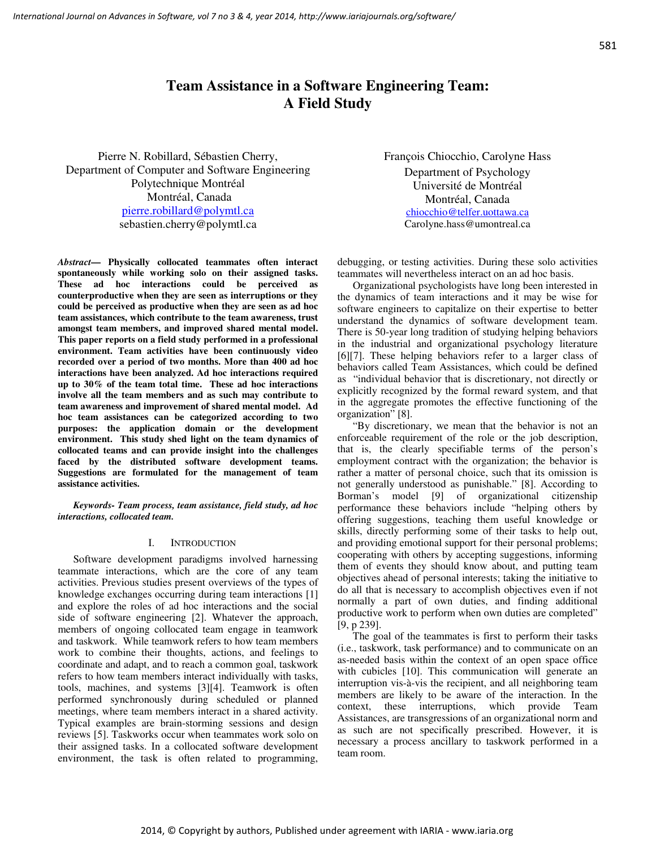# **Team Assistance in a Software Engineering Team: A Field Study**

Pierre N. Robillard, Sébastien Cherry, Department of Computer and Software Engineering Polytechnique Montréal Montréal, Canada pierre.robillard@polymtl.ca sebastien.cherry@polymtl.ca

*Abstract***— Physically collocated teammates often interact spontaneously while working solo on their assigned tasks. These ad hoc interactions could be perceived as counterproductive when they are seen as interruptions or they could be perceived as productive when they are seen as ad hoc team assistances, which contribute to the team awareness, trust amongst team members, and improved shared mental model. This paper reports on a field study performed in a professional environment. Team activities have been continuously video recorded over a period of two months. More than 400 ad hoc interactions have been analyzed. Ad hoc interactions required up to 30% of the team total time. These ad hoc interactions involve all the team members and as such may contribute to team awareness and improvement of shared mental model. Ad hoc team assistances can be categorized according to two purposes: the application domain or the development environment. This study shed light on the team dynamics of collocated teams and can provide insight into the challenges faced by the distributed software development teams. Suggestions are formulated for the management of team assistance activities.** 

*Keywords- Team process, team assistance, field study, ad hoc interactions, collocated team.* 

#### I. INTRODUCTION

Software development paradigms involved harnessing teammate interactions, which are the core of any team activities. Previous studies present overviews of the types of knowledge exchanges occurring during team interactions [1] and explore the roles of ad hoc interactions and the social side of software engineering [2]. Whatever the approach, members of ongoing collocated team engage in teamwork and taskwork. While teamwork refers to how team members work to combine their thoughts, actions, and feelings to coordinate and adapt, and to reach a common goal, taskwork refers to how team members interact individually with tasks, tools, machines, and systems [3][4]. Teamwork is often performed synchronously during scheduled or planned meetings, where team members interact in a shared activity. Typical examples are brain-storming sessions and design reviews [5]. Taskworks occur when teammates work solo on their assigned tasks. In a collocated software development environment, the task is often related to programming,

François Chiocchio, Carolyne Hass Department of Psychology Université de Montréal Montréal, Canada chiocchio@telfer.uottawa.ca Carolyne.hass@umontreal.ca

debugging, or testing activities. During these solo activities teammates will nevertheless interact on an ad hoc basis.

Organizational psychologists have long been interested in the dynamics of team interactions and it may be wise for software engineers to capitalize on their expertise to better understand the dynamics of software development team. There is 50-year long tradition of studying helping behaviors in the industrial and organizational psychology literature [6][7]. These helping behaviors refer to a larger class of behaviors called Team Assistances, which could be defined as "individual behavior that is discretionary, not directly or explicitly recognized by the formal reward system, and that in the aggregate promotes the effective functioning of the organization" [8].

"By discretionary, we mean that the behavior is not an enforceable requirement of the role or the job description, that is, the clearly specifiable terms of the person's employment contract with the organization; the behavior is rather a matter of personal choice, such that its omission is not generally understood as punishable." [8]. According to Borman's model [9] of organizational citizenship performance these behaviors include "helping others by offering suggestions, teaching them useful knowledge or skills, directly performing some of their tasks to help out, and providing emotional support for their personal problems; cooperating with others by accepting suggestions, informing them of events they should know about, and putting team objectives ahead of personal interests; taking the initiative to do all that is necessary to accomplish objectives even if not normally a part of own duties, and finding additional productive work to perform when own duties are completed" [9, p 239].

The goal of the teammates is first to perform their tasks (i.e., taskwork, task performance) and to communicate on an as-needed basis within the context of an open space office with cubicles [10]. This communication will generate an interruption vis-à-vis the recipient, and all neighboring team members are likely to be aware of the interaction. In the context, these interruptions, which provide Team Assistances, are transgressions of an organizational norm and as such are not specifically prescribed. However, it is necessary a process ancillary to taskwork performed in a team room.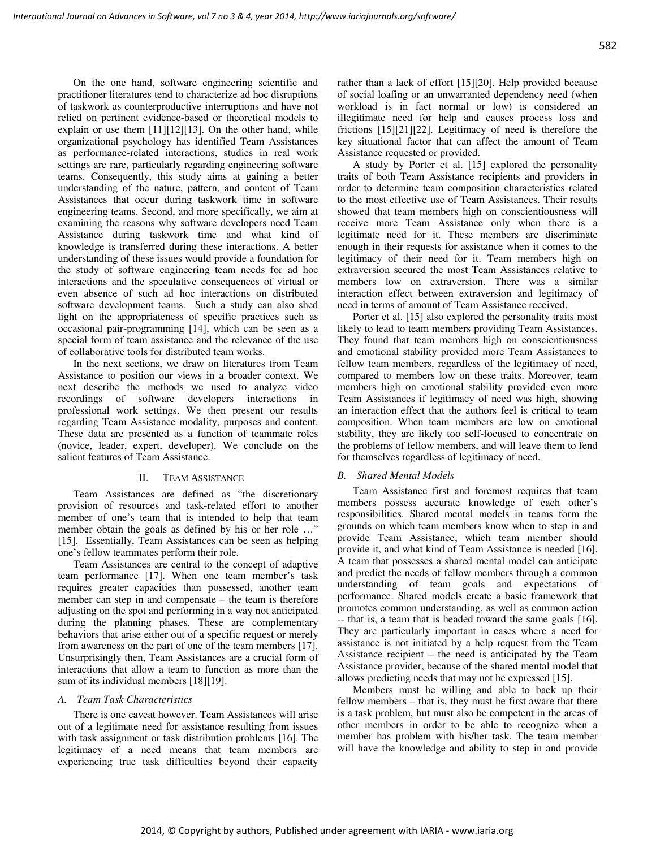On the one hand, software engineering scientific and practitioner literatures tend to characterize ad hoc disruptions of taskwork as counterproductive interruptions and have not relied on pertinent evidence-based or theoretical models to explain or use them [11][12][13]. On the other hand, while organizational psychology has identified Team Assistances as performance-related interactions, studies in real work settings are rare, particularly regarding engineering software teams. Consequently, this study aims at gaining a better understanding of the nature, pattern, and content of Team Assistances that occur during taskwork time in software engineering teams. Second, and more specifically, we aim at examining the reasons why software developers need Team Assistance during taskwork time and what kind of knowledge is transferred during these interactions. A better understanding of these issues would provide a foundation for the study of software engineering team needs for ad hoc interactions and the speculative consequences of virtual or even absence of such ad hoc interactions on distributed software development teams. Such a study can also shed light on the appropriateness of specific practices such as occasional pair-programming [14], which can be seen as a special form of team assistance and the relevance of the use of collaborative tools for distributed team works.

In the next sections, we draw on literatures from Team Assistance to position our views in a broader context. We next describe the methods we used to analyze video recordings of software developers interactions in professional work settings. We then present our results regarding Team Assistance modality, purposes and content. These data are presented as a function of teammate roles (novice, leader, expert, developer). We conclude on the salient features of Team Assistance.

## II. TEAM ASSISTANCE

Team Assistances are defined as "the discretionary provision of resources and task-related effort to another member of one's team that is intended to help that team member obtain the goals as defined by his or her role ..." [15]. Essentially, Team Assistances can be seen as helping one's fellow teammates perform their role.

Team Assistances are central to the concept of adaptive team performance [17]. When one team member's task requires greater capacities than possessed, another team member can step in and compensate – the team is therefore adjusting on the spot and performing in a way not anticipated during the planning phases. These are complementary behaviors that arise either out of a specific request or merely from awareness on the part of one of the team members [17]. Unsurprisingly then, Team Assistances are a crucial form of interactions that allow a team to function as more than the sum of its individual members [18][19].

#### *A. Team Task Characteristics*

There is one caveat however. Team Assistances will arise out of a legitimate need for assistance resulting from issues with task assignment or task distribution problems [16]. The legitimacy of a need means that team members are experiencing true task difficulties beyond their capacity rather than a lack of effort [15][20]. Help provided because of social loafing or an unwarranted dependency need (when workload is in fact normal or low) is considered an illegitimate need for help and causes process loss and frictions [15][21][22]. Legitimacy of need is therefore the key situational factor that can affect the amount of Team Assistance requested or provided.

A study by Porter et al. [15] explored the personality traits of both Team Assistance recipients and providers in order to determine team composition characteristics related to the most effective use of Team Assistances. Their results showed that team members high on conscientiousness will receive more Team Assistance only when there is a legitimate need for it. These members are discriminate enough in their requests for assistance when it comes to the legitimacy of their need for it. Team members high on extraversion secured the most Team Assistances relative to members low on extraversion. There was a similar interaction effect between extraversion and legitimacy of need in terms of amount of Team Assistance received.

Porter et al. [15] also explored the personality traits most likely to lead to team members providing Team Assistances. They found that team members high on conscientiousness and emotional stability provided more Team Assistances to fellow team members, regardless of the legitimacy of need, compared to members low on these traits. Moreover, team members high on emotional stability provided even more Team Assistances if legitimacy of need was high, showing an interaction effect that the authors feel is critical to team composition. When team members are low on emotional stability, they are likely too self-focused to concentrate on the problems of fellow members, and will leave them to fend for themselves regardless of legitimacy of need.

## *B. Shared Mental Models*

Team Assistance first and foremost requires that team members possess accurate knowledge of each other's responsibilities. Shared mental models in teams form the grounds on which team members know when to step in and provide Team Assistance, which team member should provide it, and what kind of Team Assistance is needed [16]. A team that possesses a shared mental model can anticipate and predict the needs of fellow members through a common understanding of team goals and expectations of performance. Shared models create a basic framework that promotes common understanding, as well as common action -- that is, a team that is headed toward the same goals [16]. They are particularly important in cases where a need for assistance is not initiated by a help request from the Team Assistance recipient – the need is anticipated by the Team Assistance provider, because of the shared mental model that allows predicting needs that may not be expressed [15].

Members must be willing and able to back up their fellow members – that is, they must be first aware that there is a task problem, but must also be competent in the areas of other members in order to be able to recognize when a member has problem with his/her task. The team member will have the knowledge and ability to step in and provide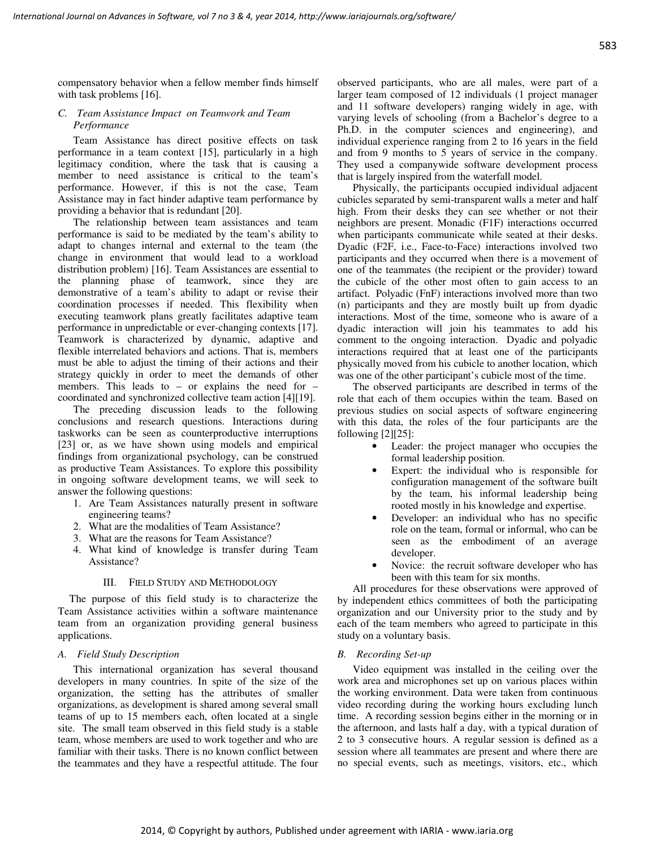compensatory behavior when a fellow member finds himself with task problems [16].

## *C. Team Assistance Impact on Teamwork and Team Performance*

Team Assistance has direct positive effects on task performance in a team context [15], particularly in a high legitimacy condition, where the task that is causing a member to need assistance is critical to the team's performance. However, if this is not the case, Team Assistance may in fact hinder adaptive team performance by providing a behavior that is redundant [20].

The relationship between team assistances and team performance is said to be mediated by the team's ability to adapt to changes internal and external to the team (the change in environment that would lead to a workload distribution problem) [16]. Team Assistances are essential to the planning phase of teamwork, since they are demonstrative of a team's ability to adapt or revise their coordination processes if needed. This flexibility when executing teamwork plans greatly facilitates adaptive team performance in unpredictable or ever-changing contexts [17]. Teamwork is characterized by dynamic, adaptive and flexible interrelated behaviors and actions. That is, members must be able to adjust the timing of their actions and their strategy quickly in order to meet the demands of other members. This leads to – or explains the need for – coordinated and synchronized collective team action [4][19].

The preceding discussion leads to the following conclusions and research questions. Interactions during taskworks can be seen as counterproductive interruptions [23] or, as we have shown using models and empirical findings from organizational psychology, can be construed as productive Team Assistances. To explore this possibility in ongoing software development teams, we will seek to answer the following questions:

- 1. Are Team Assistances naturally present in software engineering teams?
- 2. What are the modalities of Team Assistance?
- 3. What are the reasons for Team Assistance?
- 4. What kind of knowledge is transfer during Team Assistance?

## III. FIELD STUDY AND METHODOLOGY

The purpose of this field study is to characterize the Team Assistance activities within a software maintenance team from an organization providing general business applications.

## *A. Field Study Description*

This international organization has several thousand developers in many countries. In spite of the size of the organization, the setting has the attributes of smaller organizations, as development is shared among several small teams of up to 15 members each, often located at a single site. The small team observed in this field study is a stable team, whose members are used to work together and who are familiar with their tasks. There is no known conflict between the teammates and they have a respectful attitude. The four observed participants, who are all males, were part of a larger team composed of 12 individuals (1 project manager and 11 software developers) ranging widely in age, with varying levels of schooling (from a Bachelor's degree to a Ph.D. in the computer sciences and engineering), and individual experience ranging from 2 to 16 years in the field and from 9 months to 5 years of service in the company. They used a companywide software development process that is largely inspired from the waterfall model.

Physically, the participants occupied individual adjacent cubicles separated by semi-transparent walls a meter and half high. From their desks they can see whether or not their neighbors are present. Monadic (F1F) interactions occurred when participants communicate while seated at their desks. Dyadic (F2F, i.e., Face-to-Face) interactions involved two participants and they occurred when there is a movement of one of the teammates (the recipient or the provider) toward the cubicle of the other most often to gain access to an artifact. Polyadic (FnF) interactions involved more than two (n) participants and they are mostly built up from dyadic interactions. Most of the time, someone who is aware of a dyadic interaction will join his teammates to add his comment to the ongoing interaction. Dyadic and polyadic interactions required that at least one of the participants physically moved from his cubicle to another location, which was one of the other participant's cubicle most of the time.

The observed participants are described in terms of the role that each of them occupies within the team. Based on previous studies on social aspects of software engineering with this data, the roles of the four participants are the following [2][25]:

- Leader: the project manager who occupies the formal leadership position.
- Expert: the individual who is responsible for configuration management of the software built by the team, his informal leadership being rooted mostly in his knowledge and expertise.
- Developer: an individual who has no specific role on the team, formal or informal, who can be seen as the embodiment of an average developer.
- Novice: the recruit software developer who has been with this team for six months.

All procedures for these observations were approved of by independent ethics committees of both the participating organization and our University prior to the study and by each of the team members who agreed to participate in this study on a voluntary basis.

## *B. Recording Set-up*

Video equipment was installed in the ceiling over the work area and microphones set up on various places within the working environment. Data were taken from continuous video recording during the working hours excluding lunch time. A recording session begins either in the morning or in the afternoon, and lasts half a day, with a typical duration of 2 to 3 consecutive hours. A regular session is defined as a session where all teammates are present and where there are no special events, such as meetings, visitors, etc., which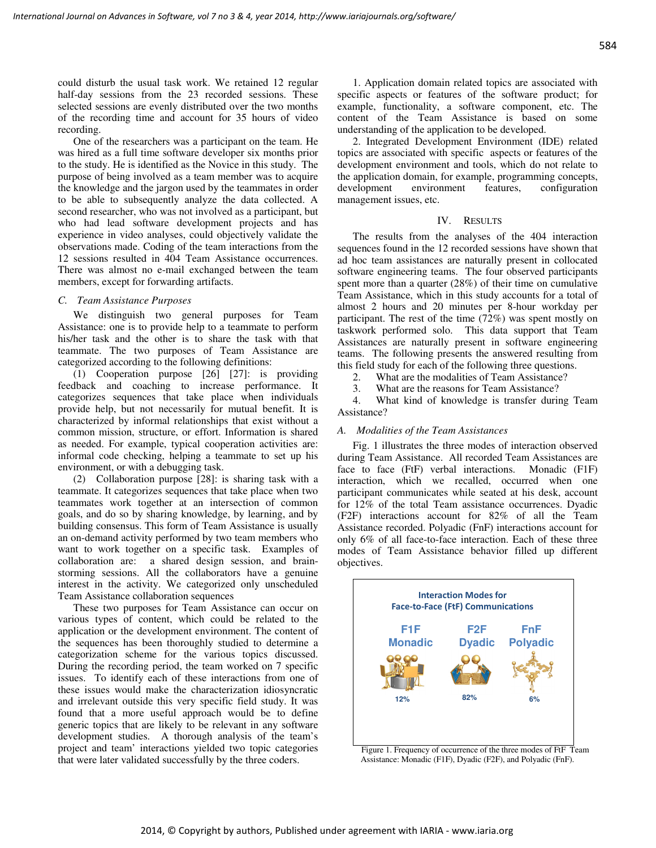could disturb the usual task work. We retained 12 regular half-day sessions from the 23 recorded sessions. These selected sessions are evenly distributed over the two months of the recording time and account for 35 hours of video recording.

One of the researchers was a participant on the team. He was hired as a full time software developer six months prior to the study. He is identified as the Novice in this study. The purpose of being involved as a team member was to acquire the knowledge and the jargon used by the teammates in order to be able to subsequently analyze the data collected. A second researcher, who was not involved as a participant, but who had lead software development projects and has experience in video analyses, could objectively validate the observations made. Coding of the team interactions from the 12 sessions resulted in 404 Team Assistance occurrences. There was almost no e-mail exchanged between the team members, except for forwarding artifacts.

#### *C. Team Assistance Purposes*

We distinguish two general purposes for Team Assistance: one is to provide help to a teammate to perform his/her task and the other is to share the task with that teammate. The two purposes of Team Assistance are categorized according to the following definitions:

(1) Cooperation purpose [26] [27]: is providing feedback and coaching to increase performance. It categorizes sequences that take place when individuals provide help, but not necessarily for mutual benefit. It is characterized by informal relationships that exist without a common mission, structure, or effort. Information is shared as needed. For example, typical cooperation activities are: informal code checking, helping a teammate to set up his environment, or with a debugging task.

(2) Collaboration purpose [28]: is sharing task with a teammate. It categorizes sequences that take place when two teammates work together at an intersection of common goals, and do so by sharing knowledge, by learning, and by building consensus. This form of Team Assistance is usually an on-demand activity performed by two team members who want to work together on a specific task. Examples of collaboration are: a shared design session, and brainstorming sessions. All the collaborators have a genuine interest in the activity. We categorized only unscheduled Team Assistance collaboration sequences

These two purposes for Team Assistance can occur on various types of content, which could be related to the application or the development environment. The content of the sequences has been thoroughly studied to determine a categorization scheme for the various topics discussed. During the recording period, the team worked on 7 specific issues. To identify each of these interactions from one of these issues would make the characterization idiosyncratic and irrelevant outside this very specific field study. It was found that a more useful approach would be to define generic topics that are likely to be relevant in any software development studies. A thorough analysis of the team's project and team' interactions yielded two topic categories that were later validated successfully by the three coders.

1. Application domain related topics are associated with specific aspects or features of the software product; for example, functionality, a software component, etc. The content of the Team Assistance is based on some understanding of the application to be developed.

2. Integrated Development Environment (IDE) related topics are associated with specific aspects or features of the development environment and tools, which do not relate to the application domain, for example, programming concepts, development environment features, configuration management issues, etc.

#### IV. RESULTS

The results from the analyses of the 404 interaction sequences found in the 12 recorded sessions have shown that ad hoc team assistances are naturally present in collocated software engineering teams. The four observed participants spent more than a quarter (28%) of their time on cumulative Team Assistance, which in this study accounts for a total of almost 2 hours and 20 minutes per 8-hour workday per participant. The rest of the time (72%) was spent mostly on taskwork performed solo. This data support that Team Assistances are naturally present in software engineering teams. The following presents the answered resulting from this field study for each of the following three questions.

2. What are the modalities of Team Assistance?<br>3. What are the reasons for Team Assistance?

What are the reasons for Team Assistance?

4. What kind of knowledge is transfer during Team Assistance?

#### *A. Modalities of the Team Assistances*

Fig. 1 illustrates the three modes of interaction observed during Team Assistance. All recorded Team Assistances are face to face (FtF) verbal interactions. Monadic (F1F) interaction, which we recalled, occurred when one participant communicates while seated at his desk, account for 12% of the total Team assistance occurrences. Dyadic (F2F) interactions account for 82% of all the Team Assistance recorded. Polyadic (FnF) interactions account for only 6% of all face-to-face interaction. Each of these three modes of Team Assistance behavior filled up different objectives.



Figure 1. Frequency of occurrence of the three modes of FtF Team Assistance: Monadic (F1F), Dyadic (F2F), and Polyadic (FnF).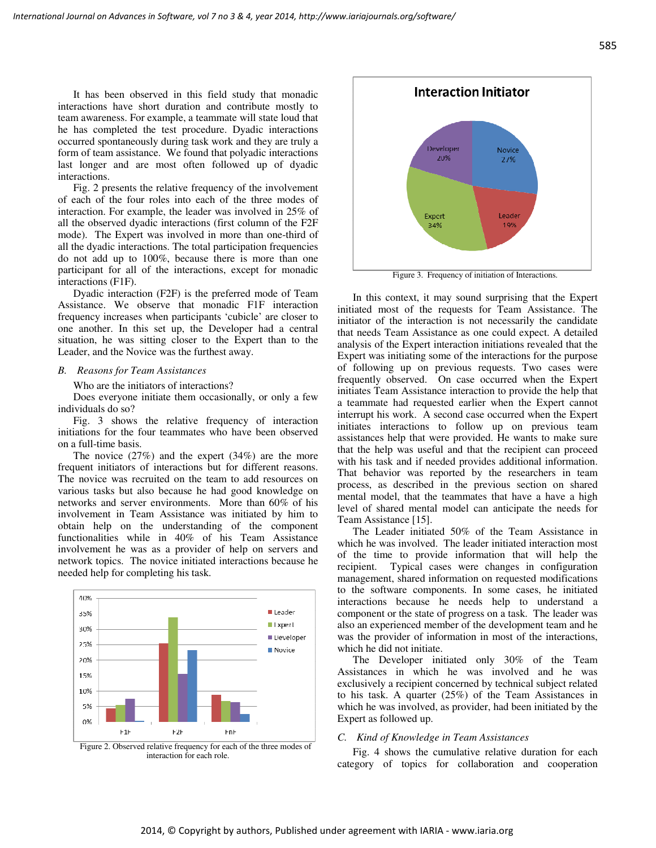It has been observed in this field study that monadic interactions have short duration and contribute mostly to team awareness. For example, a teammate will state loud that he has completed the test procedure. Dyadic interactions occurred spontaneously during task work and they are truly a form of team assistance. We found that polyadic interactions last longer and are most often followed up of dyadic interactions.

Fig. 2 presents the relative frequency of the involvement of each of the four roles into each of the three modes of interaction. For example, the leader was involved in 25% of all the observed dyadic interactions (first column of the F2F mode). The Expert was involved in more than one-third of all the dyadic interactions. The total participation frequencies do not add up to 100%, because there is more than one participant for all of the interactions, except for monadic interactions (F1F).

Dyadic interaction (F2F) is the preferred mode of Team Assistance. We observe that monadic F1F interaction frequency increases when participants 'cubicle' are closer to one another. In this set up, the Developer had a central situation, he was sitting closer to the Expert than to the Leader, and the Novice was the furthest away.

## *B. Reasons for Team Assistances*

Who are the initiators of interactions?

Does everyone initiate them occasionally, or only a few individuals do so?

Fig. 3 shows the relative frequency of interaction initiations for the four teammates who have been observed on a full-time basis.

The novice (27%) and the expert (34%) are the more frequent initiators of interactions but for different reasons. The novice was recruited on the team to add resources on various tasks but also because he had good knowledge on networks and server environments. More than 60% of his involvement in Team Assistance was initiated by him to obtain help on the understanding of the component functionalities while in 40% of his Team Assistance involvement he was as a provider of help on servers and network topics. The novice initiated interactions because he needed help for completing his task.



Figure 2. Observed relative frequency for each of the three modes of interaction for each role.



Figure 3. Frequency of initiation of Interactions.

In this context, it may sound surprising that the Expert initiated most of the requests for Team Assistance. The initiator of the interaction is not necessarily the candidate that needs Team Assistance as one could expect. A detailed analysis of the Expert interaction initiations revealed that the Expert was initiating some of the interactions for the purpose of following up on previous requests. Two cases were frequently observed. On case occurred when the Expert initiates Team Assistance interaction to provide the help that a teammate had requested earlier when the Expert cannot interrupt his work. A second case occurred when the Expert initiates interactions to follow up on previous team assistances help that were provided. He wants to make sure that the help was useful and that the recipient can proceed with his task and if needed provides additional information. That behavior was reported by the researchers in team process, as described in the previous section on shared mental model, that the teammates that have a have a high level of shared mental model can anticipate the needs for Team Assistance [15].

The Leader initiated 50% of the Team Assistance in which he was involved. The leader initiated interaction most of the time to provide information that will help the recipient. Typical cases were changes in configuration management, shared information on requested modifications to the software components. In some cases, he initiated interactions because he needs help to understand a component or the state of progress on a task. The leader was also an experienced member of the development team and he was the provider of information in most of the interactions, which he did not initiate.

The Developer initiated only 30% of the Team Assistances in which he was involved and he was exclusively a recipient concerned by technical subject related to his task. A quarter (25%) of the Team Assistances in which he was involved, as provider, had been initiated by the Expert as followed up.

#### *C. Kind of Knowledge in Team Assistances*

Fig. 4 shows the cumulative relative duration for each category of topics for collaboration and cooperation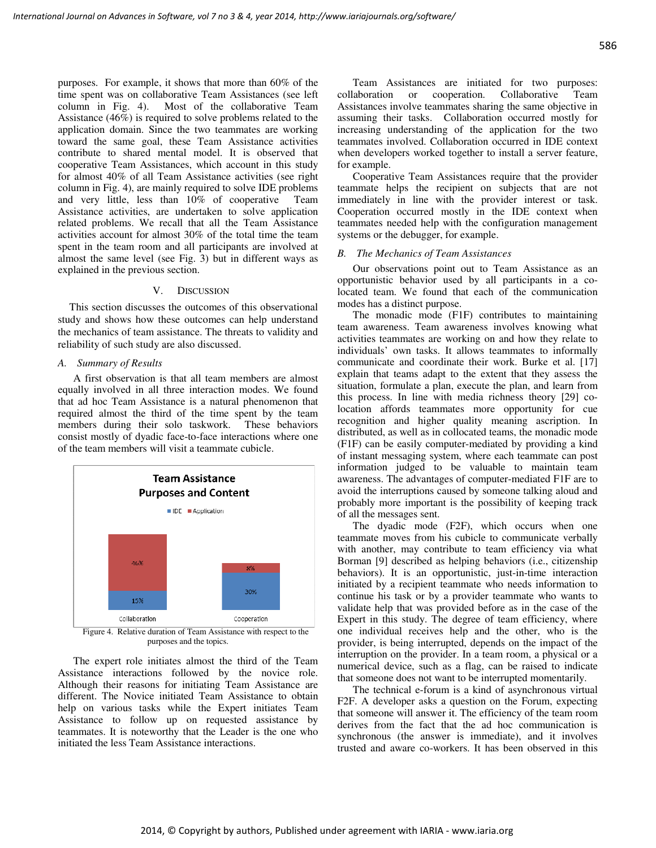purposes. For example, it shows that more than 60% of the time spent was on collaborative Team Assistances (see left column in Fig. 4). Most of the collaborative Team Assistance (46%) is required to solve problems related to the application domain. Since the two teammates are working toward the same goal, these Team Assistance activities contribute to shared mental model. It is observed that cooperative Team Assistances, which account in this study for almost 40% of all Team Assistance activities (see right column in Fig. 4), are mainly required to solve IDE problems and very little, less than 10% of cooperative Team Assistance activities, are undertaken to solve application related problems. We recall that all the Team Assistance activities account for almost 30% of the total time the team spent in the team room and all participants are involved at almost the same level (see Fig. 3) but in different ways as explained in the previous section.

#### V. DISCUSSION

This section discusses the outcomes of this observational study and shows how these outcomes can help understand the mechanics of team assistance. The threats to validity and reliability of such study are also discussed.

#### *A. Summary of Results*

A first observation is that all team members are almost equally involved in all three interaction modes. We found that ad hoc Team Assistance is a natural phenomenon that required almost the third of the time spent by the team members during their solo taskwork. These behaviors consist mostly of dyadic face-to-face interactions where one of the team members will visit a teammate cubicle.



purposes and the topics.

The expert role initiates almost the third of the Team Assistance interactions followed by the novice role. Although their reasons for initiating Team Assistance are different. The Novice initiated Team Assistance to obtain help on various tasks while the Expert initiates Team Assistance to follow up on requested assistance by teammates. It is noteworthy that the Leader is the one who initiated the less Team Assistance interactions.

Team Assistances are initiated for two purposes: collaboration or cooperation. Collaborative Team Assistances involve teammates sharing the same objective in assuming their tasks. Collaboration occurred mostly for increasing understanding of the application for the two teammates involved. Collaboration occurred in IDE context when developers worked together to install a server feature, for example.

Cooperative Team Assistances require that the provider teammate helps the recipient on subjects that are not immediately in line with the provider interest or task. Cooperation occurred mostly in the IDE context when teammates needed help with the configuration management systems or the debugger, for example.

#### *B. The Mechanics of Team Assistances*

Our observations point out to Team Assistance as an opportunistic behavior used by all participants in a colocated team. We found that each of the communication modes has a distinct purpose.

The monadic mode (F1F) contributes to maintaining team awareness. Team awareness involves knowing what activities teammates are working on and how they relate to individuals' own tasks. It allows teammates to informally communicate and coordinate their work. Burke et al. [17] explain that teams adapt to the extent that they assess the situation, formulate a plan, execute the plan, and learn from this process. In line with media richness theory [29] colocation affords teammates more opportunity for cue recognition and higher quality meaning ascription. In distributed, as well as in collocated teams, the monadic mode (F1F) can be easily computer-mediated by providing a kind of instant messaging system, where each teammate can post information judged to be valuable to maintain team awareness. The advantages of computer-mediated F1F are to avoid the interruptions caused by someone talking aloud and probably more important is the possibility of keeping track of all the messages sent.

The dyadic mode (F2F), which occurs when one teammate moves from his cubicle to communicate verbally with another, may contribute to team efficiency via what Borman [9] described as helping behaviors (i.e., citizenship behaviors). It is an opportunistic, just-in-time interaction initiated by a recipient teammate who needs information to continue his task or by a provider teammate who wants to validate help that was provided before as in the case of the Expert in this study. The degree of team efficiency, where one individual receives help and the other, who is the provider, is being interrupted, depends on the impact of the interruption on the provider. In a team room, a physical or a numerical device, such as a flag, can be raised to indicate that someone does not want to be interrupted momentarily.

The technical e-forum is a kind of asynchronous virtual F2F. A developer asks a question on the Forum, expecting that someone will answer it. The efficiency of the team room derives from the fact that the ad hoc communication is synchronous (the answer is immediate), and it involves trusted and aware co-workers. It has been observed in this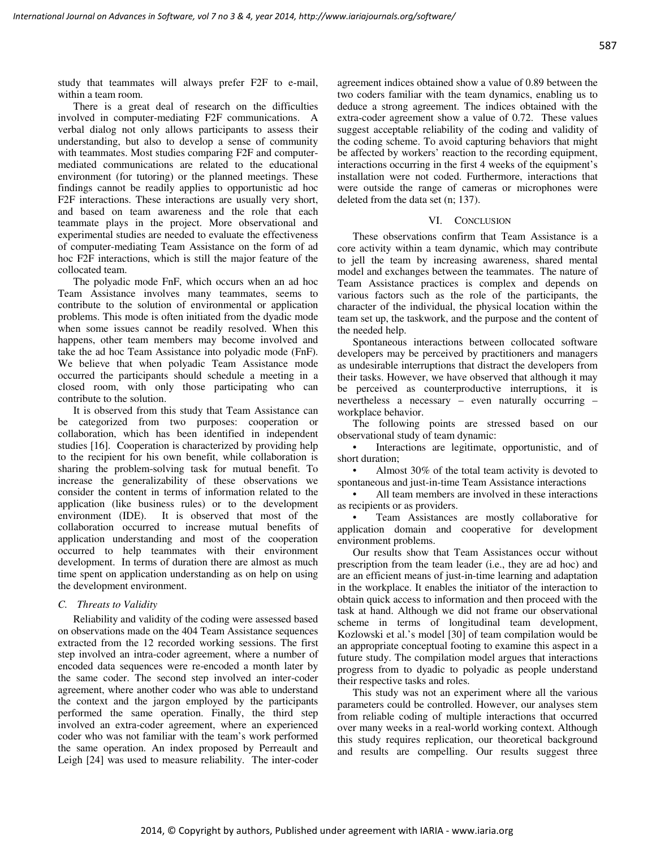study that teammates will always prefer F2F to e-mail, within a team room.

There is a great deal of research on the difficulties involved in computer-mediating F2F communications. A verbal dialog not only allows participants to assess their understanding, but also to develop a sense of community with teammates. Most studies comparing F2F and computermediated communications are related to the educational environment (for tutoring) or the planned meetings. These findings cannot be readily applies to opportunistic ad hoc F2F interactions. These interactions are usually very short, and based on team awareness and the role that each teammate plays in the project. More observational and experimental studies are needed to evaluate the effectiveness of computer-mediating Team Assistance on the form of ad hoc F2F interactions, which is still the major feature of the collocated team.

The polyadic mode FnF, which occurs when an ad hoc Team Assistance involves many teammates, seems to contribute to the solution of environmental or application problems. This mode is often initiated from the dyadic mode when some issues cannot be readily resolved. When this happens, other team members may become involved and take the ad hoc Team Assistance into polyadic mode (FnF). We believe that when polyadic Team Assistance mode occurred the participants should schedule a meeting in a closed room, with only those participating who can contribute to the solution.

It is observed from this study that Team Assistance can be categorized from two purposes: cooperation or collaboration, which has been identified in independent studies [16]. Cooperation is characterized by providing help to the recipient for his own benefit, while collaboration is sharing the problem-solving task for mutual benefit. To increase the generalizability of these observations we consider the content in terms of information related to the application (like business rules) or to the development environment (IDE). It is observed that most of the It is observed that most of the collaboration occurred to increase mutual benefits of application understanding and most of the cooperation occurred to help teammates with their environment development. In terms of duration there are almost as much time spent on application understanding as on help on using the development environment.

## *C. Threats to Validity*

Reliability and validity of the coding were assessed based on observations made on the 404 Team Assistance sequences extracted from the 12 recorded working sessions. The first step involved an intra-coder agreement, where a number of encoded data sequences were re-encoded a month later by the same coder. The second step involved an inter-coder agreement, where another coder who was able to understand the context and the jargon employed by the participants performed the same operation. Finally, the third step involved an extra-coder agreement, where an experienced coder who was not familiar with the team's work performed the same operation. An index proposed by Perreault and Leigh [24] was used to measure reliability. The inter-coder

agreement indices obtained show a value of 0.89 between the two coders familiar with the team dynamics, enabling us to deduce a strong agreement. The indices obtained with the extra-coder agreement show a value of 0.72. These values suggest acceptable reliability of the coding and validity of the coding scheme. To avoid capturing behaviors that might be affected by workers' reaction to the recording equipment, interactions occurring in the first 4 weeks of the equipment's installation were not coded. Furthermore, interactions that were outside the range of cameras or microphones were deleted from the data set (n; 137).

#### VI. CONCLUSION

These observations confirm that Team Assistance is a core activity within a team dynamic, which may contribute to jell the team by increasing awareness, shared mental model and exchanges between the teammates. The nature of Team Assistance practices is complex and depends on various factors such as the role of the participants, the character of the individual, the physical location within the team set up, the taskwork, and the purpose and the content of the needed help.

Spontaneous interactions between collocated software developers may be perceived by practitioners and managers as undesirable interruptions that distract the developers from their tasks. However, we have observed that although it may be perceived as counterproductive interruptions, it is nevertheless a necessary – even naturally occurring – workplace behavior.

The following points are stressed based on our observational study of team dynamic:

Interactions are legitimate, opportunistic, and of short duration;

Almost 30% of the total team activity is devoted to spontaneous and just-in-time Team Assistance interactions

All team members are involved in these interactions as recipients or as providers.

Team Assistances are mostly collaborative for application domain and cooperative for development environment problems.

Our results show that Team Assistances occur without prescription from the team leader (i.e., they are ad hoc) and are an efficient means of just-in-time learning and adaptation in the workplace. It enables the initiator of the interaction to obtain quick access to information and then proceed with the task at hand. Although we did not frame our observational scheme in terms of longitudinal team development, Kozlowski et al.'s model [30] of team compilation would be an appropriate conceptual footing to examine this aspect in a future study. The compilation model argues that interactions progress from to dyadic to polyadic as people understand their respective tasks and roles.

This study was not an experiment where all the various parameters could be controlled. However, our analyses stem from reliable coding of multiple interactions that occurred over many weeks in a real-world working context. Although this study requires replication, our theoretical background and results are compelling. Our results suggest three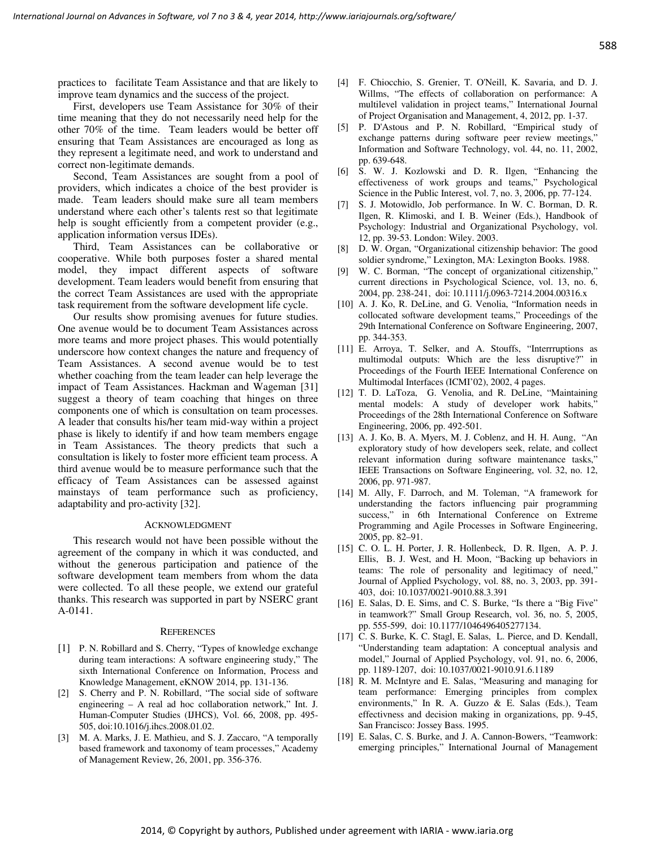practices to facilitate Team Assistance and that are likely to improve team dynamics and the success of the project.

First, developers use Team Assistance for 30% of their time meaning that they do not necessarily need help for the other 70% of the time. Team leaders would be better off ensuring that Team Assistances are encouraged as long as they represent a legitimate need, and work to understand and correct non-legitimate demands.

Second, Team Assistances are sought from a pool of providers, which indicates a choice of the best provider is made. Team leaders should make sure all team members understand where each other's talents rest so that legitimate help is sought efficiently from a competent provider (e.g., application information versus IDEs).

Third, Team Assistances can be collaborative or cooperative. While both purposes foster a shared mental model, they impact different aspects of software development. Team leaders would benefit from ensuring that the correct Team Assistances are used with the appropriate task requirement from the software development life cycle.

Our results show promising avenues for future studies. One avenue would be to document Team Assistances across more teams and more project phases. This would potentially underscore how context changes the nature and frequency of Team Assistances. A second avenue would be to test whether coaching from the team leader can help leverage the impact of Team Assistances. Hackman and Wageman [31] suggest a theory of team coaching that hinges on three components one of which is consultation on team processes. A leader that consults his/her team mid-way within a project phase is likely to identify if and how team members engage in Team Assistances. The theory predicts that such a consultation is likely to foster more efficient team process. A third avenue would be to measure performance such that the efficacy of Team Assistances can be assessed against mainstays of team performance such as proficiency, adaptability and pro-activity [32].

#### ACKNOWLEDGMENT

This research would not have been possible without the agreement of the company in which it was conducted, and without the generous participation and patience of the software development team members from whom the data were collected. To all these people, we extend our grateful thanks. This research was supported in part by NSERC grant A-0141.

#### **REFERENCES**

- [1] P. N. Robillard and S. Cherry, "Types of knowledge exchange during team interactions: A software engineering study," The sixth International Conference on Information, Process and Knowledge Management, eKNOW 2014, pp. 131-136.
- [2] S. Cherry and P. N. Robillard, "The social side of software engineering – A real ad hoc collaboration network," Int. J. Human-Computer Studies (IJHCS), Vol. 66, 2008, pp. 495- 505, doi:10.1016/j.ihcs.2008.01.02.
- [3] M. A. Marks, J. E. Mathieu, and S. J. Zaccaro, "A temporally based framework and taxonomy of team processes," Academy of Management Review, 26, 2001, pp. 356-376.
- [4] F. Chiocchio, S. Grenier, T. O'Neill, K. Savaria, and D. J. Willms, "The effects of collaboration on performance: A multilevel validation in project teams," International Journal of Project Organisation and Management, 4, 2012, pp. 1-37.
- [5] P. D'Astous and P. N. Robillard, "Empirical study of exchange patterns during software peer review meetings," Information and Software Technology, vol. 44, no. 11, 2002, pp. 639-648.
- [6] S. W. J. Kozlowski and D. R. Ilgen, "Enhancing the effectiveness of work groups and teams," Psychological Science in the Public Interest, vol. 7, no. 3, 2006, pp. 77-124.
- [7] S. J. Motowidlo, Job performance. In W. C. Borman, D. R. Ilgen, R. Klimoski, and I. B. Weiner (Eds.), Handbook of Psychology: Industrial and Organizational Psychology, vol. 12, pp. 39-53. London: Wiley. 2003.
- [8] D. W. Organ, "Organizational citizenship behavior: The good soldier syndrome," Lexington, MA: Lexington Books. 1988.
- [9] W. C. Borman, "The concept of organizational citizenship," current directions in Psychological Science, vol. 13, no. 6, 2004, pp. 238-241, doi: 10.1111/j.0963-7214.2004.00316.x
- [10] A. J. Ko, R. DeLine, and G. Venolia, "Information needs in collocated software development teams," Proceedings of the 29th International Conference on Software Engineering, 2007, pp. 344-353.
- [11] E. Arroya, T. Selker, and A. Stouffs, "Interrruptions as multimodal outputs: Which are the less disruptive?" in Proceedings of the Fourth IEEE International Conference on Multimodal Interfaces (ICMI'02), 2002, 4 pages.
- [12] T. D. LaToza, G. Venolia, and R. DeLine, "Maintaining mental models: A study of developer work habits," Proceedings of the 28th International Conference on Software Engineering, 2006, pp. 492-501.
- [13] A. J. Ko, B. A. Myers, M. J. Coblenz, and H. H. Aung, "An exploratory study of how developers seek, relate, and collect relevant information during software maintenance tasks," IEEE Transactions on Software Engineering, vol. 32, no. 12, 2006, pp. 971-987.
- [14] M. Ally, F. Darroch, and M. Toleman, "A framework for understanding the factors influencing pair programming success," in 6th International Conference on Extreme Programming and Agile Processes in Software Engineering, 2005, pp. 82–91.
- [15] C. O. L. H. Porter, J. R. Hollenbeck, D. R. Ilgen, A. P. J. Ellis, B. J. West, and H. Moon, "Backing up behaviors in teams: The role of personality and legitimacy of need," Journal of Applied Psychology, vol. 88, no. 3, 2003, pp. 391- 403, doi: 10.1037/0021-9010.88.3.391
- [16] E. Salas, D. E. Sims, and C. S. Burke, "Is there a "Big Five" in teamwork?" Small Group Research, vol. 36, no. 5, 2005, pp. 555-599, doi: 10.1177/1046496405277134.
- [17] C. S. Burke, K. C. Stagl, E. Salas, L. Pierce, and D. Kendall, "Understanding team adaptation: A conceptual analysis and model," Journal of Applied Psychology, vol. 91, no. 6, 2006, pp. 1189-1207, doi: 10.1037/0021-9010.91.6.1189
- [18] R. M. McIntyre and E. Salas, "Measuring and managing for team performance: Emerging principles from complex environments," In R. A. Guzzo & E. Salas (Eds.), Team effectivness and decision making in organizations, pp. 9-45, San Francisco: Jossey Bass. 1995.
- [19] E. Salas, C. S. Burke, and J. A. Cannon-Bowers, "Teamwork: emerging principles," International Journal of Management